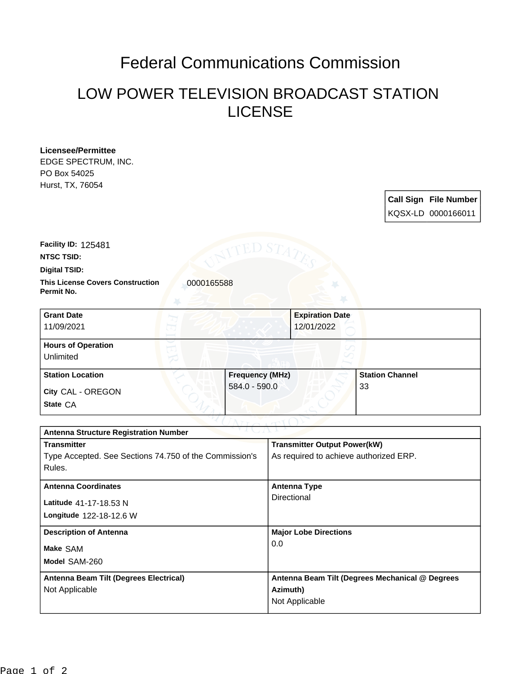## Federal Communications Commission

## LOW POWER TELEVISION BROADCAST STATION LICENSE

| Licensee/Permittee<br>EDGE SPECTRUM, INC.<br>PO Box 54025<br>Hurst, TX, 76054 |            |                        |                        |                        |                              |
|-------------------------------------------------------------------------------|------------|------------------------|------------------------|------------------------|------------------------------|
|                                                                               |            |                        |                        |                        | <b>Call Sign File Number</b> |
|                                                                               |            |                        |                        |                        | KQSX-LD 0000166011           |
| Facility ID: 125481<br><b>NTSC TSID:</b><br>Digital TSID:                     |            |                        |                        |                        |                              |
| <b>This License Covers Construction</b><br>Permit No.                         | 0000165588 |                        |                        |                        |                              |
| <b>Grant Date</b>                                                             |            |                        | <b>Expiration Date</b> |                        |                              |
| 11/09/2021                                                                    |            |                        | 12/01/2022             |                        |                              |
| <b>Hours of Operation</b><br>Unlimited                                        |            |                        |                        |                        |                              |
| <b>Station Location</b>                                                       |            | <b>Frequency (MHz)</b> |                        | <b>Station Channel</b> |                              |
| City CAL - OREGON                                                             |            | 584.0 - 590.0          |                        | 33                     |                              |
| State CA                                                                      |            |                        |                        |                        |                              |

| .<br><b>Antenna Structure Registration Number</b> |  |  |  |
|---------------------------------------------------|--|--|--|
| <b>Transmitter Output Power(kW)</b>               |  |  |  |
| As required to achieve authorized ERP.            |  |  |  |
|                                                   |  |  |  |
| <b>Antenna Type</b>                               |  |  |  |
| Directional                                       |  |  |  |
|                                                   |  |  |  |
| <b>Major Lobe Directions</b>                      |  |  |  |
| 0.0                                               |  |  |  |
|                                                   |  |  |  |
|                                                   |  |  |  |
| Antenna Beam Tilt (Degrees Mechanical @ Degrees   |  |  |  |
| Azimuth)                                          |  |  |  |
| Not Applicable                                    |  |  |  |
|                                                   |  |  |  |